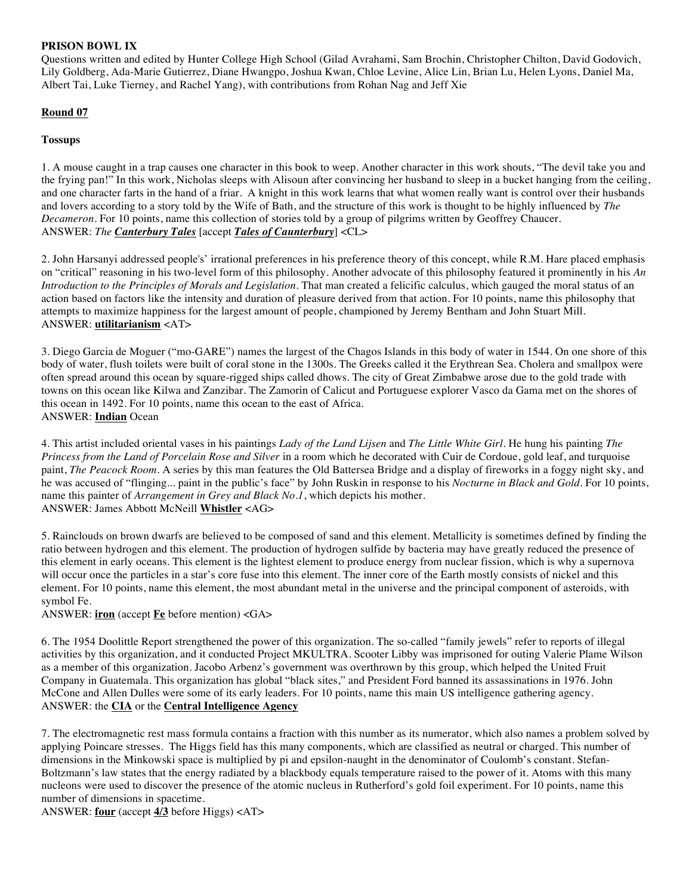### **PRISON BOWL IX**

Questions written and edited by Hunter College High School (Gilad Avrahami, Sam Brochin, Christopher Chilton, David Godovich, Lily Goldberg, Ada-Marie Gutierrez, Diane Hwangpo, Joshua Kwan, Chloe Levine, Alice Lin, Brian Lu, Helen Lyons, Daniel Ma, Albert Tai, Luke Tierney, and Rachel Yang), with contributions from Rohan Nag and Jeff Xie

## **Round 07**

## **Tossups**

1. A mouse caught in a trap causes one character in this book to weep. Another character in this work shouts, "The devil take you and the frying pan!" In this work, Nicholas sleeps with Alisoun after convincing her husband to sleep in a bucket hanging from the ceiling, and one character farts in the hand of a friar. A knight in this work learns that what women really want is control over their husbands and lovers according to a story told by the Wife of Bath, and the structure of this work is thought to be highly influenced by *The Decameron*. For 10 points, name this collection of stories told by a group of pilgrims written by Geoffrey Chaucer. ANSWER: *The Canterbury Tales* [accept *Tales of Caunterbury*] <CL>

2. John Harsanyi addressed people's' irrational preferences in his preference theory of this concept, while R.M. Hare placed emphasis on "critical" reasoning in his two-level form of this philosophy. Another advocate of this philosophy featured it prominently in his *An Introduction to the Principles of Morals and Legislation*. That man created a felicific calculus, which gauged the moral status of an action based on factors like the intensity and duration of pleasure derived from that action. For 10 points, name this philosophy that attempts to maximize happiness for the largest amount of people, championed by Jeremy Bentham and John Stuart Mill. ANSWER: **utilitarianism** <AT>

3. Diego Garcia de Moguer ("mo-GARE") names the largest of the Chagos Islands in this body of water in 1544. On one shore of this body of water, flush toilets were built of coral stone in the 1300s. The Greeks called it the Erythrean Sea. Cholera and smallpox were often spread around this ocean by square-rigged ships called dhows. The city of Great Zimbabwe arose due to the gold trade with towns on this ocean like Kilwa and Zanzibar. The Zamorin of Calicut and Portuguese explorer Vasco da Gama met on the shores of this ocean in 1492. For 10 points, name this ocean to the east of Africa. ANSWER: **Indian** Ocean

4. This artist included oriental vases in his paintings *Lady of the Land Lijsen* and *The Little White Girl*. He hung his painting *The Princess from the Land of Porcelain Rose and Silver* in a room which he decorated with Cuir de Cordoue, gold leaf, and turquoise paint, *The Peacock Room*. A series by this man features the Old Battersea Bridge and a display of fireworks in a foggy night sky, and he was accused of "flinging... paint in the public's face" by John Ruskin in response to his *Nocturne in Black and Gold.* For 10 points, name this painter of *Arrangement in Grey and Black No.1*, which depicts his mother. ANSWER: James Abbott McNeill **Whistler** <AG>

5. Rainclouds on brown dwarfs are believed to be composed of sand and this element. Metallicity is sometimes defined by finding the ratio between hydrogen and this element. The production of hydrogen sulfide by bacteria may have greatly reduced the presence of this element in early oceans. This element is the lightest element to produce energy from nuclear fission, which is why a supernova will occur once the particles in a star's core fuse into this element. The inner core of the Earth mostly consists of nickel and this element. For 10 points, name this element, the most abundant metal in the universe and the principal component of asteroids, with symbol Fe.

#### ANSWER: **iron** (accept **Fe** before mention) <GA>

6. The 1954 Doolittle Report strengthened the power of this organization. The so-called "family jewels" refer to reports of illegal activities by this organization, and it conducted Project MKULTRA. Scooter Libby was imprisoned for outing Valerie Plame Wilson as a member of this organization. Jacobo Arbenz's government was overthrown by this group, which helped the United Fruit Company in Guatemala. This organization has global "black sites," and President Ford banned its assassinations in 1976. John McCone and Allen Dulles were some of its early leaders. For 10 points, name this main US intelligence gathering agency. ANSWER: the **CIA** or the **Central Intelligence Agency** 

7. The electromagnetic rest mass formula contains a fraction with this number as its numerator, which also names a problem solved by applying Poincare stresses. The Higgs field has this many components, which are classified as neutral or charged. This number of dimensions in the Minkowski space is multiplied by pi and epsilon-naught in the denominator of Coulomb's constant. Stefan-Boltzmann's law states that the energy radiated by a blackbody equals temperature raised to the power of it. Atoms with this many nucleons were used to discover the presence of the atomic nucleus in Rutherford's gold foil experiment. For 10 points, name this number of dimensions in spacetime.

ANSWER: **four** (accept **4/3** before Higgs) <AT>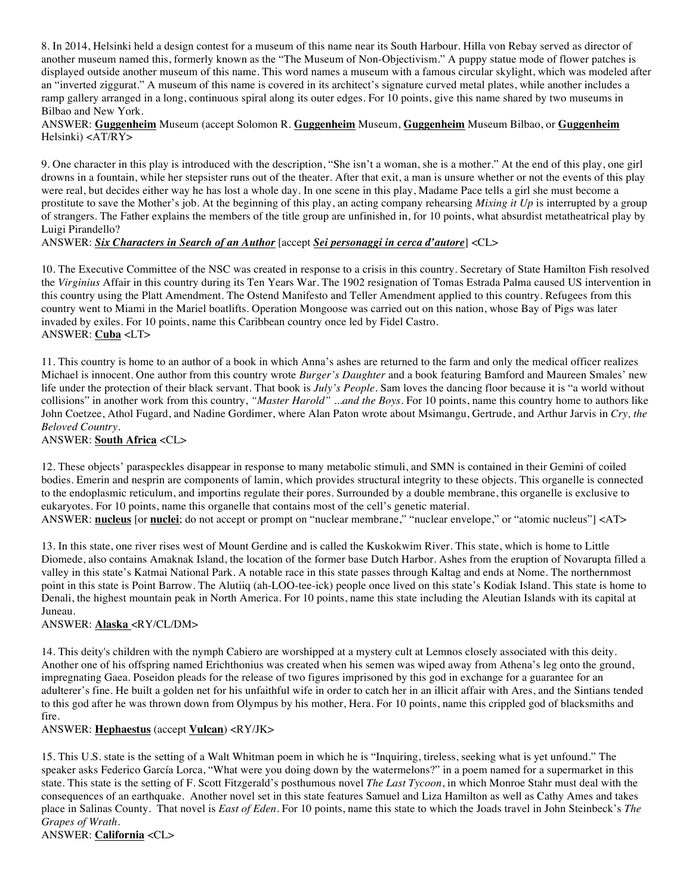8. In 2014, Helsinki held a design contest for a museum of this name near its South Harbour. Hilla von Rebay served as director of another museum named this, formerly known as the "The Museum of Non-Objectivism." A puppy statue mode of flower patches is displayed outside another museum of this name. This word names a museum with a famous circular skylight, which was modeled after an "inverted ziggurat." A museum of this name is covered in its architect's signature curved metal plates, while another includes a ramp gallery arranged in a long, continuous spiral along its outer edges. For 10 points, give this name shared by two museums in Bilbao and New York.

ANSWER: **Guggenheim** Museum (accept Solomon R. **Guggenheim** Museum, **Guggenheim** Museum Bilbao, or **Guggenheim** Helsinki) <AT/RY>

9. One character in this play is introduced with the description, "She isn't a woman, she is a mother." At the end of this play, one girl drowns in a fountain, while her stepsister runs out of the theater. After that exit, a man is unsure whether or not the events of this play were real, but decides either way he has lost a whole day. In one scene in this play, Madame Pace tells a girl she must become a prostitute to save the Mother's job. At the beginning of this play, an acting company rehearsing *Mixing it Up* is interrupted by a group of strangers. The Father explains the members of the title group are unfinished in, for 10 points, what absurdist metatheatrical play by Luigi Pirandello?

# ANSWER: *Six Characters in Search of an Author* [accept *Sei personaggi in cerca d'autore*] <CL>

10. The Executive Committee of the NSC was created in response to a crisis in this country. Secretary of State Hamilton Fish resolved the *Virginius* Affair in this country during its Ten Years War. The 1902 resignation of Tomas Estrada Palma caused US intervention in this country using the Platt Amendment. The Ostend Manifesto and Teller Amendment applied to this country. Refugees from this country went to Miami in the Mariel boatlifts. Operation Mongoose was carried out on this nation, whose Bay of Pigs was later invaded by exiles. For 10 points, name this Caribbean country once led by Fidel Castro. ANSWER: **Cuba** <LT>

11. This country is home to an author of a book in which Anna's ashes are returned to the farm and only the medical officer realizes Michael is innocent. One author from this country wrote *Burger's Daughter* and a book featuring Bamford and Maureen Smales' new life under the protection of their black servant. That book is *July's People*. Sam loves the dancing floor because it is "a world without collisions" in another work from this country, *"Master Harold" ...and the Boys*. For 10 points, name this country home to authors like John Coetzee, Athol Fugard, and Nadine Gordimer, where Alan Paton wrote about Msimangu, Gertrude, and Arthur Jarvis in *Cry, the Beloved Country*.

ANSWER: **South Africa** <CL>

12. These objects' paraspeckles disappear in response to many metabolic stimuli, and SMN is contained in their Gemini of coiled bodies. Emerin and nesprin are components of lamin, which provides structural integrity to these objects. This organelle is connected to the endoplasmic reticulum, and importins regulate their pores. Surrounded by a double membrane, this organelle is exclusive to eukaryotes. For 10 points, name this organelle that contains most of the cell's genetic material.

ANSWER: **nucleus** [or **nuclei**; do not accept or prompt on "nuclear membrane," "nuclear envelope," or "atomic nucleus"] <AT>

13. In this state, one river rises west of Mount Gerdine and is called the Kuskokwim River. This state, which is home to Little Diomede, also contains Amaknak Island, the location of the former base Dutch Harbor. Ashes from the eruption of Novarupta filled a valley in this state's Katmai National Park. A notable race in this state passes through Kaltag and ends at Nome. The northernmost point in this state is Point Barrow. The Alutiiq (ah-LOO-tee-ick) people once lived on this state's Kodiak Island. This state is home to Denali, the highest mountain peak in North America. For 10 points, name this state including the Aleutian Islands with its capital at Juneau.

#### ANSWER: **Alaska** <RY/CL/DM>

14. This deity's children with the nymph Cabiero are worshipped at a mystery cult at Lemnos closely associated with this deity. Another one of his offspring named Erichthonius was created when his semen was wiped away from Athena's leg onto the ground, impregnating Gaea. Poseidon pleads for the release of two figures imprisoned by this god in exchange for a guarantee for an adulterer's fine. He built a golden net for his unfaithful wife in order to catch her in an illicit affair with Ares, and the Sintians tended to this god after he was thrown down from Olympus by his mother, Hera. For 10 points, name this crippled god of blacksmiths and fire.

#### ANSWER: **Hephaestus** (accept **Vulcan**) <RY/JK>

15. This U.S. state is the setting of a Walt Whitman poem in which he is "Inquiring, tireless, seeking what is yet unfound." The speaker asks Federico García Lorca, "What were you doing down by the watermelons?" in a poem named for a supermarket in this state. This state is the setting of F. Scott Fitzgerald's posthumous novel *The Last Tycoon*, in which Monroe Stahr must deal with the consequences of an earthquake. Another novel set in this state features Samuel and Liza Hamilton as well as Cathy Ames and takes place in Salinas County. That novel is *East of Eden*. For 10 points, name this state to which the Joads travel in John Steinbeck's *The Grapes of Wrath*.

ANSWER: **California** <CL>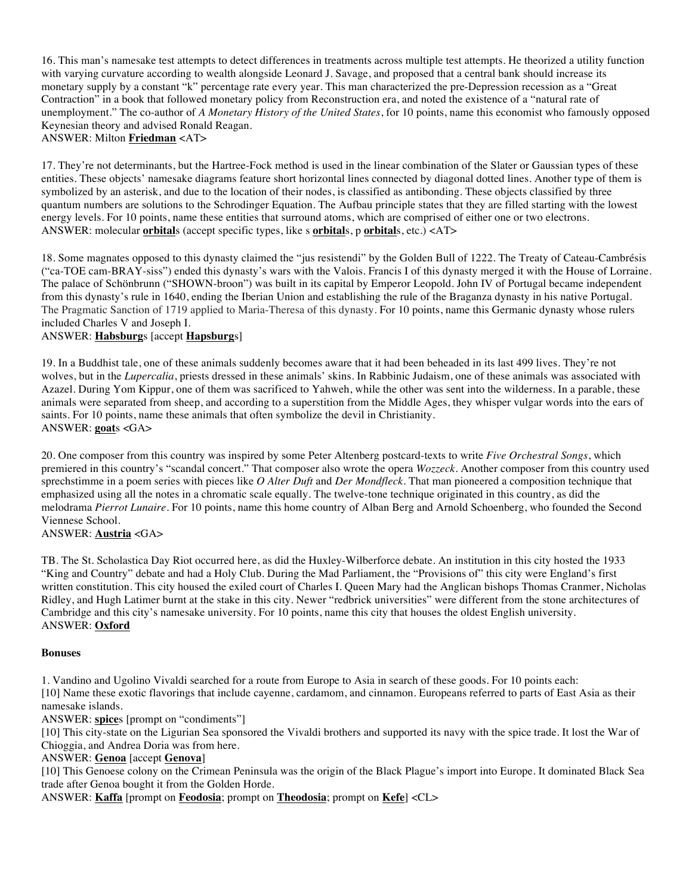16. This man's namesake test attempts to detect differences in treatments across multiple test attempts. He theorized a utility function with varying curvature according to wealth alongside Leonard J. Savage, and proposed that a central bank should increase its monetary supply by a constant "k" percentage rate every year. This man characterized the pre-Depression recession as a "Great Contraction" in a book that followed monetary policy from Reconstruction era, and noted the existence of a "natural rate of unemployment." The co-author of *A Monetary History of the United States*, for 10 points, name this economist who famously opposed Keynesian theory and advised Ronald Reagan. ANSWER: Milton **Friedman** <AT>

17. They're not determinants, but the Hartree-Fock method is used in the linear combination of the Slater or Gaussian types of these entities. These objects' namesake diagrams feature short horizontal lines connected by diagonal dotted lines. Another type of them is symbolized by an asterisk, and due to the location of their nodes, is classified as antibonding. These objects classified by three quantum numbers are solutions to the Schrodinger Equation. The Aufbau principle states that they are filled starting with the lowest energy levels. For 10 points, name these entities that surround atoms, which are comprised of either one or two electrons. ANSWER: molecular **orbital**s (accept specific types, like s **orbital**s, p **orbital**s, etc.) <AT>

18. Some magnates opposed to this dynasty claimed the "jus resistendi" by the Golden Bull of 1222. The Treaty of Cateau-Cambrésis ("ca-TOE cam-BRAY-siss") ended this dynasty's wars with the Valois. Francis I of this dynasty merged it with the House of Lorraine. The palace of Schönbrunn ("SHOWN-broon") was built in its capital by Emperor Leopold. John IV of Portugal became independent from this dynasty's rule in 1640, ending the Iberian Union and establishing the rule of the Braganza dynasty in his native Portugal. The Pragmatic Sanction of 1719 applied to Maria-Theresa of this dynasty. For 10 points, name this Germanic dynasty whose rulers included Charles V and Joseph I.

### ANSWER: **Habsburg**s [accept **Hapsburg**s]

19. In a Buddhist tale, one of these animals suddenly becomes aware that it had been beheaded in its last 499 lives. They're not wolves, but in the *Lupercalia*, priests dressed in these animals' skins. In Rabbinic Judaism, one of these animals was associated with Azazel. During Yom Kippur, one of them was sacrificed to Yahweh, while the other was sent into the wilderness. In a parable, these animals were separated from sheep, and according to a superstition from the Middle Ages, they whisper vulgar words into the ears of saints. For 10 points, name these animals that often symbolize the devil in Christianity. ANSWER: **goat**s <GA>

20. One composer from this country was inspired by some Peter Altenberg postcard-texts to write *Five Orchestral Songs*, which premiered in this country's "scandal concert." That composer also wrote the opera *Wozzeck*. Another composer from this country used sprechstimme in a poem series with pieces like *O Alter Duft* and *Der Mondfleck*. That man pioneered a composition technique that emphasized using all the notes in a chromatic scale equally. The twelve-tone technique originated in this country, as did the melodrama *Pierrot Lunaire*. For 10 points, name this home country of Alban Berg and Arnold Schoenberg, who founded the Second Viennese School.

ANSWER: **Austria** <GA>

TB. The St. Scholastica Day Riot occurred here, as did the Huxley-Wilberforce debate. An institution in this city hosted the 1933 "King and Country" debate and had a Holy Club. During the Mad Parliament, the "Provisions of" this city were England's first written constitution. This city housed the exiled court of Charles I. Queen Mary had the Anglican bishops Thomas Cranmer, Nicholas Ridley, and Hugh Latimer burnt at the stake in this city. Newer "redbrick universities" were different from the stone architectures of Cambridge and this city's namesake university. For 10 points, name this city that houses the oldest English university. ANSWER: **Oxford**

#### **Bonuses**

1. Vandino and Ugolino Vivaldi searched for a route from Europe to Asia in search of these goods. For 10 points each:

[10] Name these exotic flavorings that include cayenne, cardamom, and cinnamon. Europeans referred to parts of East Asia as their namesake islands.

ANSWER: **spice**s [prompt on "condiments"]

[10] This city-state on the Ligurian Sea sponsored the Vivaldi brothers and supported its navy with the spice trade. It lost the War of Chioggia, and Andrea Doria was from here.

#### ANSWER: **Genoa** [accept **Genova**]

[10] This Genoese colony on the Crimean Peninsula was the origin of the Black Plague's import into Europe. It dominated Black Sea trade after Genoa bought it from the Golden Horde.

ANSWER: **Kaffa** [prompt on **Feodosia**; prompt on **Theodosia**; prompt on **Kefe**] <CL>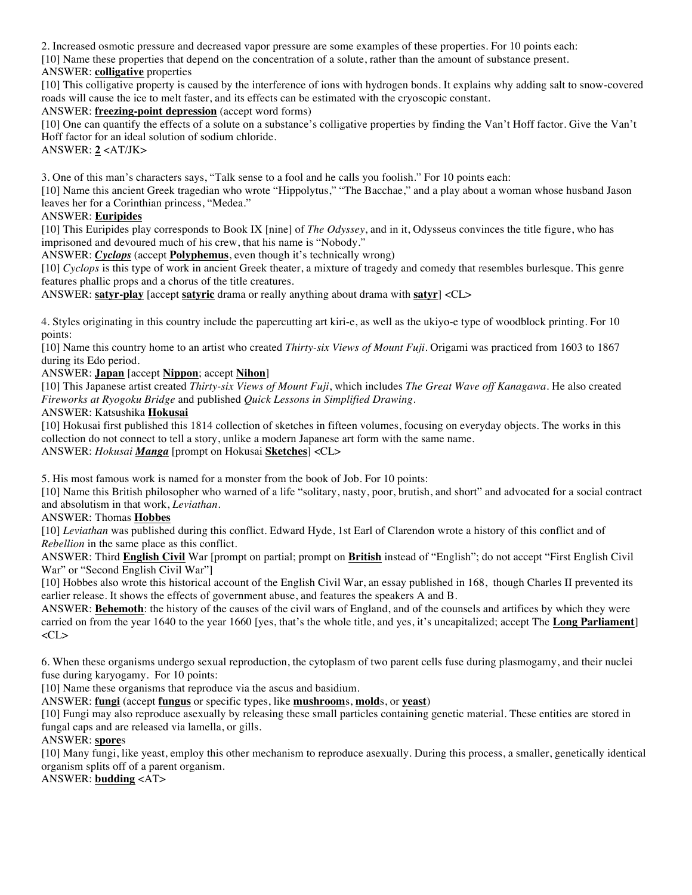2. Increased osmotic pressure and decreased vapor pressure are some examples of these properties. For 10 points each: [10] Name these properties that depend on the concentration of a solute, rather than the amount of substance present. ANSWER: **colligative** properties

[10] This colligative property is caused by the interference of ions with hydrogen bonds. It explains why adding salt to snow-covered roads will cause the ice to melt faster, and its effects can be estimated with the cryoscopic constant.

ANSWER: **freezing-point depression** (accept word forms)

[10] One can quantify the effects of a solute on a substance's colligative properties by finding the Van't Hoff factor. Give the Van't Hoff factor for an ideal solution of sodium chloride.

ANSWER: **2** <AT/JK>

3. One of this man's characters says, "Talk sense to a fool and he calls you foolish." For 10 points each:

[10] Name this ancient Greek tragedian who wrote "Hippolytus," "The Bacchae," and a play about a woman whose husband Jason leaves her for a Corinthian princess, "Medea."

#### ANSWER: **Euripides**

[10] This Euripides play corresponds to Book IX [nine] of *The Odyssey*, and in it, Odysseus convinces the title figure, who has imprisoned and devoured much of his crew, that his name is "Nobody."

ANSWER: *Cyclops* (accept **Polyphemus**, even though it's technically wrong)

[10] *Cyclops* is this type of work in ancient Greek theater, a mixture of tragedy and comedy that resembles burlesque. This genre features phallic props and a chorus of the title creatures.

ANSWER: **satyr-play** [accept **satyric** drama or really anything about drama with **satyr**] <CL>

4. Styles originating in this country include the papercutting art kiri-e, as well as the ukiyo-e type of woodblock printing. For 10 points:

[10] Name this country home to an artist who created *Thirty-six Views of Mount Fuji.* Origami was practiced from 1603 to 1867 during its Edo period.

ANSWER: **Japan** [accept **Nippon**; accept **Nihon**]

[10] This Japanese artist created *Thirty-six Views of Mount Fuji*, which includes *The Great Wave off Kanagawa*. He also created *Fireworks at Ryogoku Bridge* and published *Quick Lessons in Simplified Drawing*.

ANSWER: Katsushika **Hokusai**

[10] Hokusai first published this 1814 collection of sketches in fifteen volumes, focusing on everyday objects. The works in this collection do not connect to tell a story, unlike a modern Japanese art form with the same name. ANSWER: *Hokusai Manga* [prompt on Hokusai **Sketches**] <CL>

5. His most famous work is named for a monster from the book of Job. For 10 points:

[10] Name this British philosopher who warned of a life "solitary, nasty, poor, brutish, and short" and advocated for a social contract and absolutism in that work, *Leviathan*.

ANSWER: Thomas **Hobbes**

[10] *Leviathan* was published during this conflict. Edward Hyde, 1st Earl of Clarendon wrote a history of this conflict and of *Rebellion* in the same place as this conflict.

ANSWER: Third **English Civil** War [prompt on partial; prompt on **British** instead of "English"; do not accept "First English Civil War" or "Second English Civil War"]

[10] Hobbes also wrote this historical account of the English Civil War, an essay published in 168, though Charles II prevented its earlier release. It shows the effects of government abuse, and features the speakers A and B.

ANSWER: **Behemoth**: the history of the causes of the civil wars of England, and of the counsels and artifices by which they were carried on from the year 1640 to the year 1660 [yes, that's the whole title, and yes, it's uncapitalized; accept The **Long Parliament**]  $<$ CL $>$ 

6. When these organisms undergo sexual reproduction, the cytoplasm of two parent cells fuse during plasmogamy, and their nuclei fuse during karyogamy. For 10 points:

[10] Name these organisms that reproduce via the ascus and basidium.

ANSWER: **fungi** (accept **fungus** or specific types, like **mushroom**s, **mold**s, or **yeast**)

[10] Fungi may also reproduce asexually by releasing these small particles containing genetic material. These entities are stored in fungal caps and are released via lamella, or gills.

ANSWER: **spore**s

[10] Many fungi, like yeast, employ this other mechanism to reproduce asexually. During this process, a smaller, genetically identical organism splits off of a parent organism.

ANSWER: **budding** <AT>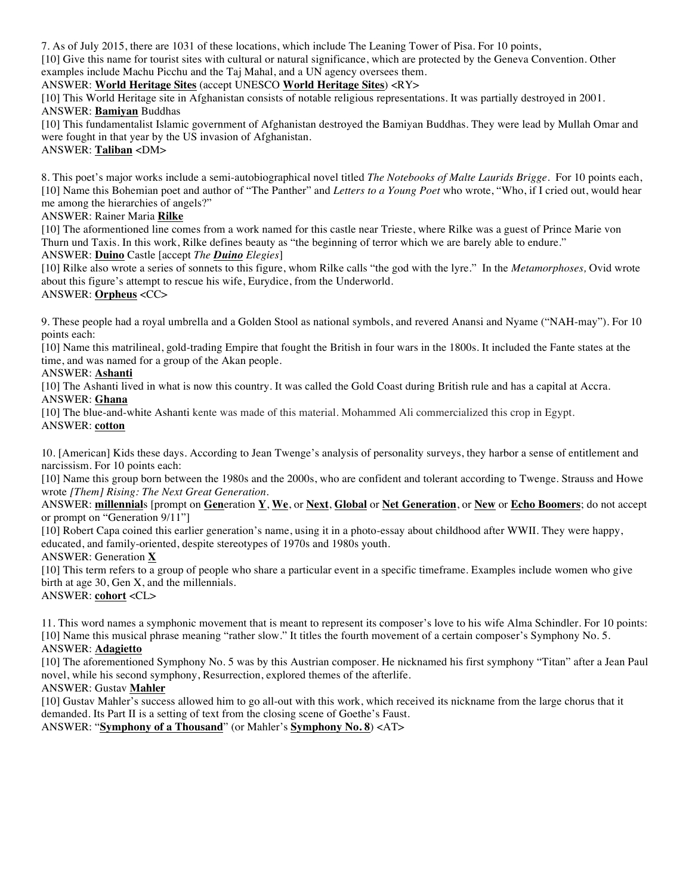7. As of July 2015, there are 1031 of these locations, which include The Leaning Tower of Pisa. For 10 points,

[10] Give this name for tourist sites with cultural or natural significance, which are protected by the Geneva Convention. Other examples include Machu Picchu and the Taj Mahal, and a UN agency oversees them.

#### ANSWER: **World Heritage Sites** (accept UNESCO **World Heritage Sites**) <RY>

[10] This World Heritage site in Afghanistan consists of notable religious representations. It was partially destroyed in 2001. ANSWER: **Bamiyan** Buddhas

[10] This fundamentalist Islamic government of Afghanistan destroyed the Bamiyan Buddhas. They were lead by Mullah Omar and were fought in that year by the US invasion of Afghanistan.

ANSWER: **Taliban** <DM>

8. This poet's major works include a semi-autobiographical novel titled *The Notebooks of Malte Laurids Brigge.* For 10 points each, [10] Name this Bohemian poet and author of "The Panther" and *Letters to a Young Poet* who wrote, "Who, if I cried out, would hear me among the hierarchies of angels?"

ANSWER: Rainer Maria **Rilke**

[10] The aformentioned line comes from a work named for this castle near Trieste, where Rilke was a guest of Prince Marie von Thurn und Taxis. In this work, Rilke defines beauty as "the beginning of terror which we are barely able to endure." ANSWER: **Duino** Castle [accept *The Duino Elegies*]

[10] Rilke also wrote a series of sonnets to this figure, whom Rilke calls "the god with the lyre." In the *Metamorphoses,* Ovid wrote about this figure's attempt to rescue his wife, Eurydice, from the Underworld.

ANSWER: **Orpheus** <CC>

9. These people had a royal umbrella and a Golden Stool as national symbols, and revered Anansi and Nyame ("NAH-may"). For 10 points each:

[10] Name this matrilineal, gold-trading Empire that fought the British in four wars in the 1800s. It included the Fante states at the time, and was named for a group of the Akan people.

ANSWER: **Ashanti**

[10] The Ashanti lived in what is now this country. It was called the Gold Coast during British rule and has a capital at Accra. ANSWER: **Ghana**

[10] The blue-and-white Ashanti kente was made of this material. Mohammed Ali commercialized this crop in Egypt. ANSWER: **cotton**

10. [American] Kids these days. According to Jean Twenge's analysis of personality surveys, they harbor a sense of entitlement and narcissism. For 10 points each:

[10] Name this group born between the 1980s and the 2000s, who are confident and tolerant according to Twenge. Strauss and Howe wrote *[Them] Rising: The Next Great Generation*.

ANSWER: **millennial**s [prompt on **Gen**eration **Y**, **We**, or **Next**, **Global** or **Net Generation**, or **New** or **Echo Boomers**; do not accept or prompt on "Generation 9/11"]

[10] Robert Capa coined this earlier generation's name, using it in a photo-essay about childhood after WWII. They were happy, educated, and family-oriented, despite stereotypes of 1970s and 1980s youth.

ANSWER: Generation **X**

[10] This term refers to a group of people who share a particular event in a specific timeframe. Examples include women who give birth at age 30, Gen X, and the millennials.

ANSWER: **cohort** <CL>

11. This word names a symphonic movement that is meant to represent its composer's love to his wife Alma Schindler. For 10 points: [10] Name this musical phrase meaning "rather slow." It titles the fourth movement of a certain composer's Symphony No. 5. ANSWER: **Adagietto**

[10] The aforementioned Symphony No. 5 was by this Austrian composer. He nicknamed his first symphony "Titan" after a Jean Paul novel, while his second symphony, Resurrection, explored themes of the afterlife.

ANSWER: Gustav **Mahler**

[10] Gustav Mahler's success allowed him to go all-out with this work, which received its nickname from the large chorus that it demanded. Its Part II is a setting of text from the closing scene of Goethe's Faust.

ANSWER: "**Symphony of a Thousand**" (or Mahler's **Symphony No. 8**) <AT>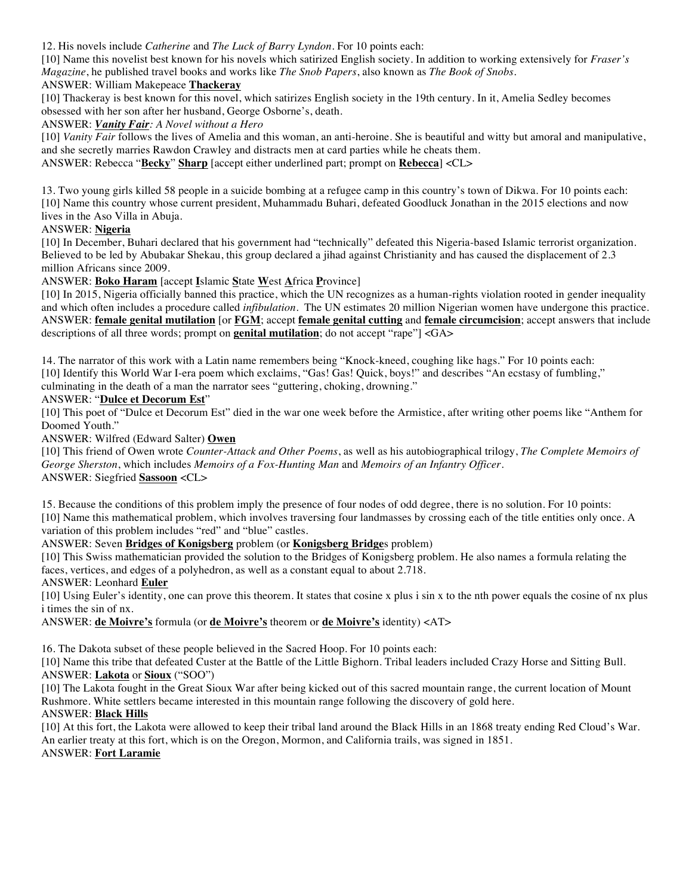12. His novels include *Catherine* and *The Luck of Barry Lyndon.* For 10 points each:

[10] Name this novelist best known for his novels which satirized English society. In addition to working extensively for *Fraser's Magazine*, he published travel books and works like *The Snob Papers*, also known as *The Book of Snobs*.

## ANSWER: William Makepeace **Thackeray**

[10] Thackeray is best known for this novel, which satirizes English society in the 19th century. In it, Amelia Sedley becomes obsessed with her son after her husband, George Osborne's, death.

### ANSWER: *Vanity Fair: A Novel without a Hero*

[10] *Vanity Fair* follows the lives of Amelia and this woman, an anti-heroine. She is beautiful and witty but amoral and manipulative, and she secretly marries Rawdon Crawley and distracts men at card parties while he cheats them.

ANSWER: Rebecca "**Becky**" **Sharp** [accept either underlined part; prompt on **Rebecca**] <CL>

13. Two young girls killed 58 people in a suicide bombing at a refugee camp in this country's town of Dikwa. For 10 points each: [10] Name this country whose current president, Muhammadu Buhari, defeated Goodluck Jonathan in the 2015 elections and now lives in the Aso Villa in Abuja.

## ANSWER: **Nigeria**

[10] In December, Buhari declared that his government had "technically" defeated this Nigeria-based Islamic terrorist organization. Believed to be led by Abubakar Shekau, this group declared a jihad against Christianity and has caused the displacement of 2.3 million Africans since 2009.

## ANSWER: **Boko Haram** [accept **I**slamic **S**tate **W**est **A**frica **P**rovince]

[10] In 2015, Nigeria officially banned this practice, which the UN recognizes as a human-rights violation rooted in gender inequality and which often includes a procedure called *infibulation.* The UN estimates 20 million Nigerian women have undergone this practice. ANSWER: **female genital mutilation** [or **FGM**; accept **female genital cutting** and **female circumcision**; accept answers that include descriptions of all three words; prompt on **genital mutilation**; do not accept "rape"] <GA>

14. The narrator of this work with a Latin name remembers being "Knock-kneed, coughing like hags." For 10 points each: [10] Identify this World War I-era poem which exclaims, "Gas! Gas! Quick, boys!" and describes "An ecstasy of fumbling," culminating in the death of a man the narrator sees "guttering, choking, drowning."

#### ANSWER: "**Dulce et Decorum Est**"

[10] This poet of "Dulce et Decorum Est" died in the war one week before the Armistice, after writing other poems like "Anthem for Doomed Youth."

ANSWER: Wilfred (Edward Salter) **Owen**

[10] This friend of Owen wrote *Counter-Attack and Other Poems*, as well as his autobiographical trilogy, *The Complete Memoirs of George Sherston*, which includes *Memoirs of a Fox-Hunting Man* and *Memoirs of an Infantry Officer*. ANSWER: Siegfried **Sassoon** <CL>

15. Because the conditions of this problem imply the presence of four nodes of odd degree, there is no solution. For 10 points: [10] Name this mathematical problem, which involves traversing four landmasses by crossing each of the title entities only once. A variation of this problem includes "red" and "blue" castles.

### ANSWER: Seven **Bridges of Konigsberg** problem (or **Konigsberg Bridge**s problem)

[10] This Swiss mathematician provided the solution to the Bridges of Konigsberg problem. He also names a formula relating the faces, vertices, and edges of a polyhedron, as well as a constant equal to about 2.718.

### ANSWER: Leonhard **Euler**

[10] Using Euler's identity, one can prove this theorem. It states that cosine x plus i sin x to the nth power equals the cosine of nx plus i times the sin of nx.

ANSWER: **de Moivre's** formula (or **de Moivre's** theorem or **de Moivre's** identity) <AT>

16. The Dakota subset of these people believed in the Sacred Hoop. For 10 points each:

[10] Name this tribe that defeated Custer at the Battle of the Little Bighorn. Tribal leaders included Crazy Horse and Sitting Bull. ANSWER: **Lakota** or **Sioux** ("SOO")

[10] The Lakota fought in the Great Sioux War after being kicked out of this sacred mountain range, the current location of Mount Rushmore. White settlers became interested in this mountain range following the discovery of gold here.

### ANSWER: **Black Hills**

[10] At this fort, the Lakota were allowed to keep their tribal land around the Black Hills in an 1868 treaty ending Red Cloud's War. An earlier treaty at this fort, which is on the Oregon, Mormon, and California trails, was signed in 1851. ANSWER: **Fort Laramie**